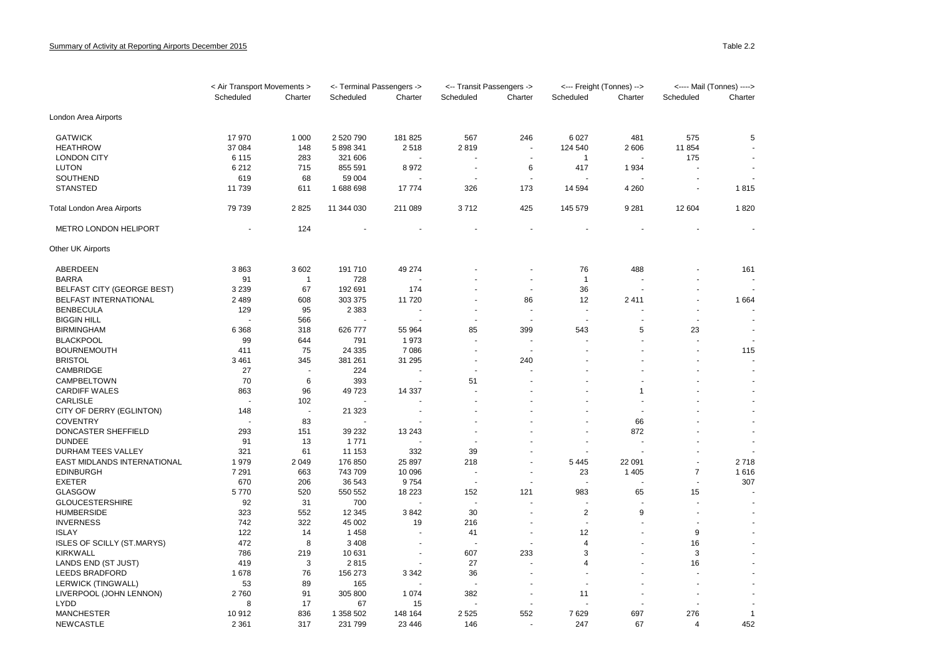|                                             | < Air Transport Movements > |                          | <- Terminal Passengers -> |         | <-- Transit Passengers -> |                          | <--- Freight (Tonnes) --> |         | <---- Mail (Tonnes) ----> |                |
|---------------------------------------------|-----------------------------|--------------------------|---------------------------|---------|---------------------------|--------------------------|---------------------------|---------|---------------------------|----------------|
|                                             | Scheduled                   | Charter                  | Scheduled                 | Charter | Scheduled                 | Charter                  | Scheduled                 | Charter | Scheduled                 | Charter        |
| London Area Airports                        |                             |                          |                           |         |                           |                          |                           |         |                           |                |
| <b>GATWICK</b>                              | 17970                       | 1 0 0 0                  | 2 520 790                 | 181 825 | 567                       | 246                      | 6 0 27                    | 481     | 575                       | 5              |
| <b>HEATHROW</b>                             | 37 084                      | 148                      | 5 898 341                 | 2518    | 2819                      | $\sim$                   | 124 540                   | 2606    | 11 854                    |                |
| <b>LONDON CITY</b>                          | 6 1 1 5                     | 283                      | 321 606                   |         |                           |                          | -1                        |         | 175                       |                |
| <b>LUTON</b>                                | 6 2 1 2                     | 715                      | 855 591                   | 8972    | ÷.                        | 6                        | 417                       | 1934    |                           |                |
| SOUTHEND                                    | 619                         | 68                       | 59 004                    |         |                           |                          |                           |         |                           |                |
| <b>STANSTED</b>                             | 11 739                      | 611                      | 1688698                   | 17774   | 326                       | 173                      | 14 5 94                   | 4 2 6 0 | ÷,                        | 1815           |
| Total London Area Airports                  | 79 739                      | 2825                     | 11 344 030                | 211 089 | 3712                      | 425                      | 145 579                   | 9 2 8 1 | 12 604                    | 1820           |
| <b>METRO LONDON HELIPORT</b>                |                             | 124                      |                           |         |                           |                          |                           |         |                           |                |
| Other UK Airports                           |                             |                          |                           |         |                           |                          |                           |         |                           |                |
| ABERDEEN                                    | 3863                        | 3602                     | 191 710                   | 49 274  |                           |                          | 76                        | 488     |                           | 161            |
| <b>BARRA</b>                                | 91                          | $\mathbf{1}$             | 728                       |         |                           |                          | $\overline{1}$            |         |                           |                |
| <b>BELFAST CITY (GEORGE BEST)</b>           | 3 2 3 9                     | 67                       | 192 691                   | 174     |                           | $\sim$                   | 36                        |         |                           |                |
| BELFAST INTERNATIONAL                       | 2 4 8 9                     | 608                      | 303 375                   | 11720   |                           | 86                       | 12                        | 2411    | ä,                        | 1664           |
| <b>BENBECULA</b>                            | 129                         | 95                       | 2 3 8 3                   |         |                           |                          |                           |         |                           |                |
| <b>BIGGIN HILL</b>                          |                             | 566                      |                           |         |                           |                          | $\sim$                    |         | ÷,                        |                |
| <b>BIRMINGHAM</b>                           | 6 3 6 8                     | 318                      | 626 777                   | 55 964  | 85                        | 399                      | 543                       | 5       | 23                        | $\blacksquare$ |
| <b>BLACKPOOL</b>                            | 99                          | 644                      | 791                       | 1973    |                           |                          |                           |         |                           | $\blacksquare$ |
| <b>BOURNEMOUTH</b>                          | 411                         | 75                       | 24 335                    | 7086    | ÷.                        | $\sim$                   |                           |         | ÷.                        | 115            |
| <b>BRISTOL</b>                              | 3 4 6 1                     | 345                      | 381 261                   | 31 295  | ÷,                        | 240                      |                           |         |                           |                |
| <b>CAMBRIDGE</b>                            | 27                          |                          | 224                       |         |                           |                          |                           |         | L,                        | ä,             |
| CAMPBELTOWN                                 | 70                          | 6                        | 393                       | $\sim$  | 51                        |                          |                           |         |                           |                |
| CARDIFF WALES                               | 863                         | 96                       | 49 723                    | 14 3 37 |                           |                          |                           | 1       |                           |                |
| CARLISLE                                    |                             | 102                      |                           |         |                           |                          |                           |         |                           |                |
|                                             | 148                         | $\overline{\phantom{a}}$ | 21 3 23                   |         |                           |                          |                           |         |                           |                |
| CITY OF DERRY (EGLINTON)<br><b>COVENTRY</b> |                             | 83                       |                           |         |                           |                          |                           | 66      |                           |                |
|                                             |                             |                          |                           |         |                           |                          |                           |         |                           |                |
| DONCASTER SHEFFIELD                         | 293                         | 151                      | 39 232                    | 13 243  |                           |                          |                           | 872     |                           |                |
| <b>DUNDEE</b>                               | 91                          | 13                       | 1 7 7 1                   |         |                           |                          |                           |         |                           | $\blacksquare$ |
| DURHAM TEES VALLEY                          | 321                         | 61                       | 11 153                    | 332     | 39                        |                          |                           |         |                           |                |
| EAST MIDLANDS INTERNATIONAL                 | 1979                        | 2 0 4 9                  | 176 850                   | 25 897  | 218                       |                          | 5 4 4 5                   | 22 091  | ÷.                        | 2718           |
| <b>EDINBURGH</b>                            | 7 2 9 1                     | 663                      | 743 709                   | 10 096  |                           | $\overline{\phantom{a}}$ | 23                        | 1 4 0 5 | $\boldsymbol{7}$          | 1616           |
| <b>EXETER</b>                               | 670                         | 206                      | 36 543                    | 9754    | $\sim$                    | $\sim$                   |                           |         | $\sim$                    | 307            |
| <b>GLASGOW</b>                              | 5770                        | 520                      | 550 552                   | 18 2 23 | 152                       | 121                      | 983                       | 65      | 15                        |                |
| <b>GLOUCESTERSHIRE</b>                      | 92                          | 31                       | 700                       |         |                           |                          |                           |         |                           |                |
| <b>HUMBERSIDE</b>                           | 323                         | 552                      | 12 3 45                   | 3842    | 30                        |                          | 2                         | 9       | $\blacksquare$            |                |
| <b>INVERNESS</b>                            | 742                         | 322                      | 45 002                    | 19      | 216                       |                          |                           |         |                           |                |
| <b>ISLAY</b>                                | 122                         | 14                       | 1458                      |         | 41                        | $\sim$                   | 12                        |         | 9                         |                |
| <b>ISLES OF SCILLY (ST.MARYS)</b>           | 472                         | 8                        | 3 4 0 8                   |         |                           |                          | 4                         |         | 16                        |                |
| <b>KIRKWALL</b>                             | 786                         | 219                      | 10 631                    | $\sim$  | 607                       | 233                      | 3                         |         | 3                         |                |
| LANDS END (ST JUST)                         | 419                         | 3                        | 2815                      |         | 27                        |                          | $\overline{4}$            |         | 16                        |                |
| <b>LEEDS BRADFORD</b>                       | 1678                        | 76                       | 156 273                   | 3 3 4 2 | 36                        |                          |                           |         |                           |                |
| LERWICK (TINGWALL)                          | 53                          | 89                       | 165                       |         |                           |                          |                           |         |                           |                |
| LIVERPOOL (JOHN LENNON)                     | 2760                        | 91                       | 305 800                   | 1 0 7 4 | 382                       |                          | 11                        |         |                           |                |
| <b>LYDD</b>                                 | 8                           | 17                       | 67                        | 15      |                           |                          |                           |         |                           |                |
| <b>MANCHESTER</b>                           | 10912                       | 836                      | 1 358 502                 | 148 164 | 2 5 2 5                   | 552                      | 7629                      | 697     | 276                       | $\mathbf{1}$   |
| <b>NEWCASTLE</b>                            | 2 3 6 1                     | 317                      | 231 799                   | 23 4 46 | 146                       |                          | 247                       | 67      | $\overline{4}$            | 452            |